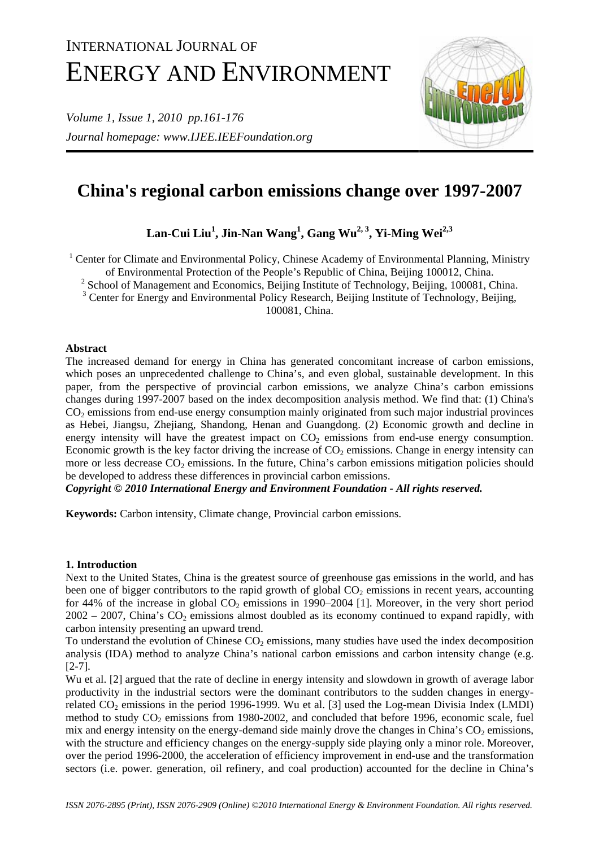# INTERNATIONAL JOURNAL OF ENERGY AND ENVIRONMENT

*Volume 1, Issue 1, 2010 pp.161-176 Journal homepage: www.IJEE.IEEFoundation.org* 



# **China's regional carbon emissions change over 1997-2007**

 $\mathrm{Lan}\text{-}\mathrm{Cui}\ \mathrm{Liu}^1, \mathrm{Jin}\text{-}\mathrm{Nan}\ \mathrm{Wang}^1, \mathrm{Gang}\ \mathrm{Wu}^{2,3}, \mathrm{Yi}\text{-}\mathrm{Ming}\ \mathrm{Wei}^{2,3}$ 

<sup>1</sup> Center for Climate and Environmental Policy, Chinese Academy of Environmental Planning, Ministry

of Environmental Protection of the People's Republic of China, Beijing 100012, China.

<sup>2</sup> School of Management and Economics, Beijing Institute of Technology, Beijing, 100081, China.

<sup>3</sup> Center for Energy and Environmental Policy Research, Beijing Institute of Technology, Beijing,

100081, China.

# **Abstract**

The increased demand for energy in China has generated concomitant increase of carbon emissions, which poses an unprecedented challenge to China's, and even global, sustainable development. In this paper, from the perspective of provincial carbon emissions, we analyze China's carbon emissions changes during 1997-2007 based on the index decomposition analysis method. We find that: (1) China's  $CO<sub>2</sub>$  emissions from end-use energy consumption mainly originated from such major industrial provinces as Hebei, Jiangsu, Zhejiang, Shandong, Henan and Guangdong. (2) Economic growth and decline in energy intensity will have the greatest impact on  $CO<sub>2</sub>$  emissions from end-use energy consumption. Economic growth is the key factor driving the increase of  $CO<sub>2</sub>$  emissions. Change in energy intensity can more or less decrease  $CO_2$  emissions. In the future, China's carbon emissions mitigation policies should be developed to address these differences in provincial carbon emissions.

*Copyright © 2010 International Energy and Environment Foundation - All rights reserved.*

**Keywords:** Carbon intensity, Climate change, Provincial carbon emissions.

# **1. Introduction**

Next to the United States, China is the greatest source of greenhouse gas emissions in the world, and has been one of bigger contributors to the rapid growth of global  $CO<sub>2</sub>$  emissions in recent years, accounting for 44% of the increase in global  $CO<sub>2</sub>$  emissions in 1990–2004 [1]. Moreover, in the very short period  $2002 - 2007$ , China's CO<sub>2</sub> emissions almost doubled as its economy continued to expand rapidly, with carbon intensity presenting an upward trend.

To understand the evolution of Chinese  $CO<sub>2</sub>$  emissions, many studies have used the index decomposition analysis (IDA) method to analyze China's national carbon emissions and carbon intensity change (e.g. [2-7].

Wu et al. [2] argued that the rate of decline in energy intensity and slowdown in growth of average labor productivity in the industrial sectors were the dominant contributors to the sudden changes in energyrelated  $CO_2$  emissions in the period 1996-1999. Wu et al. [3] used the Log-mean Divisia Index (LMDI) method to study  $CO<sub>2</sub>$  emissions from 1980-2002, and concluded that before 1996, economic scale, fuel mix and energy intensity on the energy-demand side mainly drove the changes in China's  $CO<sub>2</sub>$  emissions, with the structure and efficiency changes on the energy-supply side playing only a minor role. Moreover, over the period 1996-2000, the acceleration of efficiency improvement in end-use and the transformation sectors (i.e. power. generation, oil refinery, and coal production) accounted for the decline in China's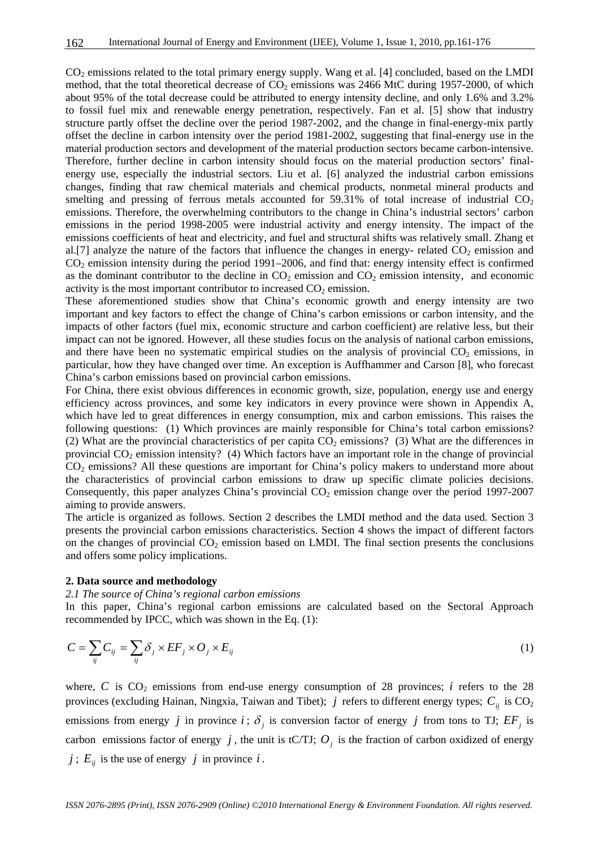CO<sub>2</sub> emissions related to the total primary energy supply. Wang et al. [4] concluded, based on the LMDI method, that the total theoretical decrease of  $CO<sub>2</sub>$  emissions was 2466 MtC during 1957-2000, of which about 95% of the total decrease could be attributed to energy intensity decline, and only 1.6% and 3.2% to fossil fuel mix and renewable energy penetration, respectively. Fan et al. [5] show that industry structure partly offset the decline over the period 1987-2002, and the change in final-energy-mix partly offset the decline in carbon intensity over the period 1981-2002, suggesting that final-energy use in the material production sectors and development of the material production sectors became carbon-intensive. Therefore, further decline in carbon intensity should focus on the material production sectors' finalenergy use, especially the industrial sectors. Liu et al. [6] analyzed the industrial carbon emissions changes, finding that raw chemical materials and chemical products, nonmetal mineral products and smelting and pressing of ferrous metals accounted for  $59.31\%$  of total increase of industrial  $CO<sub>2</sub>$ emissions. Therefore, the overwhelming contributors to the change in China's industrial sectors' carbon emissions in the period 1998-2005 were industrial activity and energy intensity. The impact of the emissions coefficients of heat and electricity, and fuel and structural shifts was relatively small. Zhang et al. [7] analyze the nature of the factors that influence the changes in energy- related  $CO<sub>2</sub>$  emission and CO2 emission intensity during the period 1991–2006, and find that: energy intensity effect is confirmed as the dominant contributor to the decline in  $CO<sub>2</sub>$  emission and  $CO<sub>2</sub>$  emission intensity, and economic activity is the most important contributor to increased  $CO<sub>2</sub>$  emission.

These aforementioned studies show that China's economic growth and energy intensity are two important and key factors to effect the change of China's carbon emissions or carbon intensity, and the impacts of other factors (fuel mix, economic structure and carbon coefficient) are relative less, but their impact can not be ignored. However, all these studies focus on the analysis of national carbon emissions, and there have been no systematic empirical studies on the analysis of provincial  $CO<sub>2</sub>$  emissions, in particular, how they have changed over time. An exception is Auffhammer and Carson [8], who forecast China's carbon emissions based on provincial carbon emissions.

For China, there exist obvious differences in economic growth, size, population, energy use and energy efficiency across provinces, and some key indicators in every province were shown in Appendix A, which have led to great differences in energy consumption, mix and carbon emissions. This raises the following questions: (1) Which provinces are mainly responsible for China's total carbon emissions? (2) What are the provincial characteristics of per capita  $CO<sub>2</sub>$  emissions? (3) What are the differences in provincial  $CO<sub>2</sub>$  emission intensity? (4) Which factors have an important role in the change of provincial CO2 emissions? All these questions are important for China's policy makers to understand more about the characteristics of provincial carbon emissions to draw up specific climate policies decisions. Consequently, this paper analyzes China's provincial  $CO<sub>2</sub>$  emission change over the period 1997-2007 aiming to provide answers.

The article is organized as follows. Section 2 describes the LMDI method and the data used. Section 3 presents the provincial carbon emissions characteristics. Section 4 shows the impact of different factors on the changes of provincial  $CO<sub>2</sub>$  emission based on LMDI. The final section presents the conclusions and offers some policy implications.

#### **2. Data source and methodology**

*2.1 The source of China's regional carbon emissions* 

In this paper, China's regional carbon emissions are calculated based on the Sectoral Approach recommended by IPCC, which was shown in the Eq. (1):

$$
C = \sum_{ij} C_{ij} = \sum_{ij} \delta_j \times EF_j \times O_j \times E_{ij}
$$
 (1)

where,  $C$  is  $CO_2$  emissions from end-use energy consumption of 28 provinces; *i* refers to the 28 provinces (excluding Hainan, Ningxia, Taiwan and Tibet);  $j$  refers to different energy types;  $C_{ii}$  is  $CO_2$ emissions from energy *j* in province *i*;  $\delta$ <sub>*i*</sub> is conversion factor of energy *j* from tons to TJ;  $EF$ <sub>*i*</sub> is carbon emissions factor of energy  $j$ , the unit is tC/TJ;  $O_j$  is the fraction of carbon oxidized of energy  $j$ ;  $E_{ij}$  is the use of energy  $j$  in province  $i$ .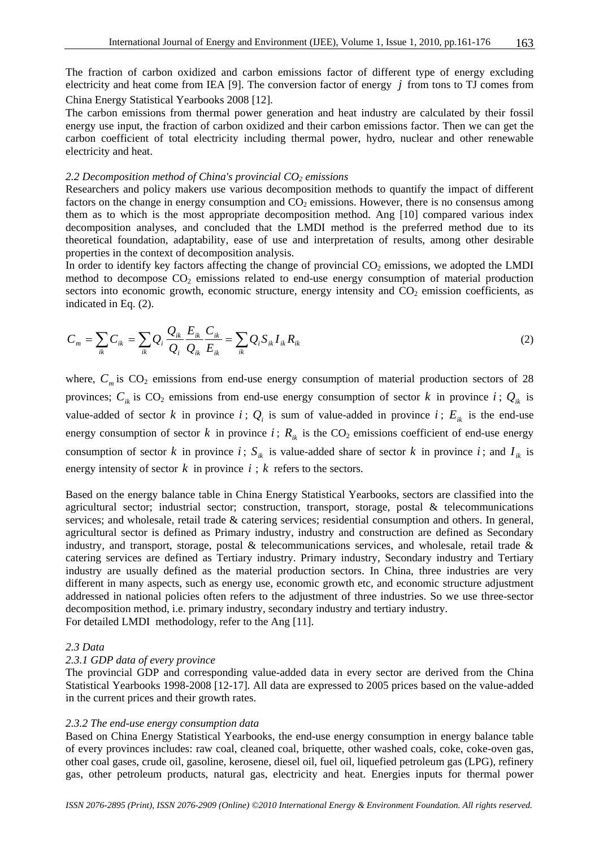The fraction of carbon oxidized and carbon emissions factor of different type of energy excluding electricity and heat come from IEA [9]. The conversion factor of energy *j* from tons to TJ comes from China Energy Statistical Yearbooks 2008 [12].

The carbon emissions from thermal power generation and heat industry are calculated by their fossil energy use input, the fraction of carbon oxidized and their carbon emissions factor. Then we can get the carbon coefficient of total electricity including thermal power, hydro, nuclear and other renewable electricity and heat.

# 2.2 Decomposition method of China's provincial CO<sub>2</sub> emissions

Researchers and policy makers use various decomposition methods to quantify the impact of different factors on the change in energy consumption and  $CO<sub>2</sub>$  emissions. However, there is no consensus among them as to which is the most appropriate decomposition method. Ang [10] compared various index decomposition analyses, and concluded that the LMDI method is the preferred method due to its theoretical foundation, adaptability, ease of use and interpretation of results, among other desirable properties in the context of decomposition analysis.

In order to identify key factors affecting the change of provincial  $CO<sub>2</sub>$  emissions, we adopted the LMDI method to decompose  $CO<sub>2</sub>$  emissions related to end-use energy consumption of material production sectors into economic growth, economic structure, energy intensity and  $CO<sub>2</sub>$  emission coefficients, as indicated in Eq. (2).

$$
C_m = \sum_{ik} C_{ik} = \sum_{ik} Q_i \frac{Q_{ik}}{Q_i} \frac{E_{ik}}{Q_{ik}} \frac{C_{ik}}{E_{ik}} = \sum_{ik} Q_i S_{ik} I_{ik} R_{ik}
$$
(2)

where,  $C_m$  is  $CO_2$  emissions from end-use energy consumption of material production sectors of 28 provinces;  $C_{ik}$  is CO<sub>2</sub> emissions from end-use energy consumption of sector k in province  $i$ ;  $Q_{ik}$  is value-added of sector *k* in province *i*;  $Q_i$  is sum of value-added in province *i*;  $E_{ik}$  is the end-use energy consumption of sector *k* in province *i*;  $R_{ik}$  is the CO<sub>2</sub> emissions coefficient of end-use energy consumption of sector *k* in province *i*;  $S_{ik}$  is value-added share of sector *k* in province *i*; and  $I_{ik}$  is energy intensity of sector  $k$  in province  $i : k$  refers to the sectors.

Based on the energy balance table in China Energy Statistical Yearbooks, sectors are classified into the agricultural sector; industrial sector; construction, transport, storage, postal & telecommunications services; and wholesale, retail trade & catering services; residential consumption and others. In general, agricultural sector is defined as Primary industry, industry and construction are defined as Secondary industry, and transport, storage, postal  $\&$  telecommunications services, and wholesale, retail trade  $\&$ catering services are defined as Tertiary industry. Primary industry, Secondary industry and Tertiary industry are usually defined as the material production sectors. In China, three industries are very different in many aspects, such as energy use, economic growth etc, and economic structure adjustment addressed in national policies often refers to the adjustment of three industries. So we use three-sector decomposition method, i.e. primary industry, secondary industry and tertiary industry. For detailed LMDI methodology, refer to the Ang [11].

# *2.3 Data*

# *2.3.1 GDP data of every province*

The provincial GDP and corresponding value-added data in every sector are derived from the China Statistical Yearbooks 1998-2008 [12-17]. All data are expressed to 2005 prices based on the value-added in the current prices and their growth rates.

# *2.3.2 The end-use energy consumption data*

Based on China Energy Statistical Yearbooks, the end-use energy consumption in energy balance table of every provinces includes: raw coal, cleaned coal, briquette, other washed coals, coke, coke-oven gas, other coal gases, crude oil, gasoline, kerosene, diesel oil, fuel oil, liquefied petroleum gas (LPG), refinery gas, other petroleum products, natural gas, electricity and heat. Energies inputs for thermal power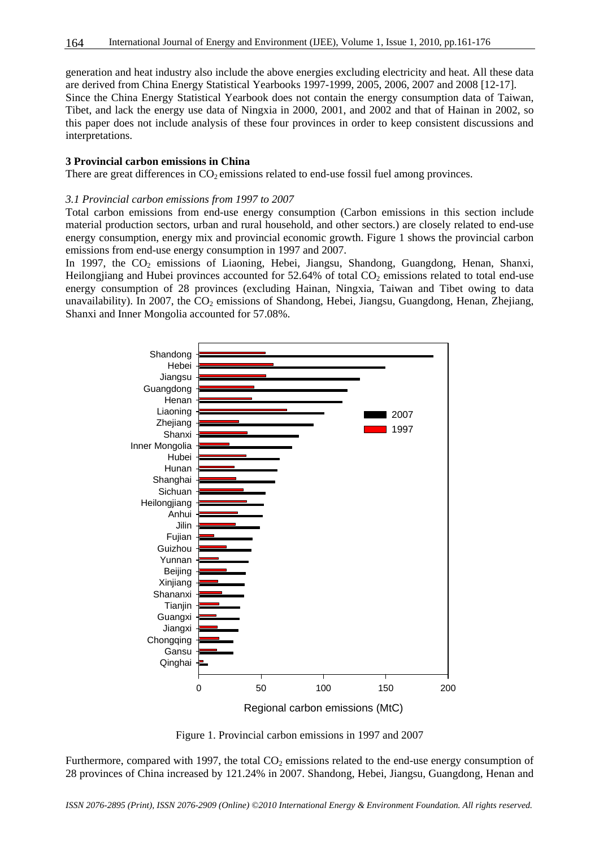generation and heat industry also include the above energies excluding electricity and heat. All these data are derived from China Energy Statistical Yearbooks 1997-1999, 2005, 2006, 2007 and 2008 [12-17]. Since the China Energy Statistical Yearbook does not contain the energy consumption data of Taiwan, Tibet, and lack the energy use data of Ningxia in 2000, 2001, and 2002 and that of Hainan in 2002, so this paper does not include analysis of these four provinces in order to keep consistent discussions and interpretations.

#### **3 Provincial carbon emissions in China**

There are great differences in  $CO<sub>2</sub>$  emissions related to end-use fossil fuel among provinces.

#### *3.1 Provincial carbon emissions from 1997 to 2007*

Total carbon emissions from end-use energy consumption (Carbon emissions in this section include material production sectors, urban and rural household, and other sectors.) are closely related to end-use energy consumption, energy mix and provincial economic growth. Figure 1 shows the provincial carbon emissions from end-use energy consumption in 1997 and 2007.

In 1997, the  $CO<sub>2</sub>$  emissions of Liaoning, Hebei, Jiangsu, Shandong, Guangdong, Henan, Shanxi, Heilongjiang and Hubei provinces accounted for  $52.64\%$  of total CO<sub>2</sub> emissions related to total end-use energy consumption of 28 provinces (excluding Hainan, Ningxia, Taiwan and Tibet owing to data unavailability). In 2007, the  $CO<sub>2</sub>$  emissions of Shandong, Hebei, Jiangsu, Guangdong, Henan, Zhejiang, Shanxi and Inner Mongolia accounted for 57.08%.



Figure 1. Provincial carbon emissions in 1997 and 2007

Furthermore, compared with 1997, the total  $CO<sub>2</sub>$  emissions related to the end-use energy consumption of 28 provinces of China increased by 121.24% in 2007. Shandong, Hebei, Jiangsu, Guangdong, Henan and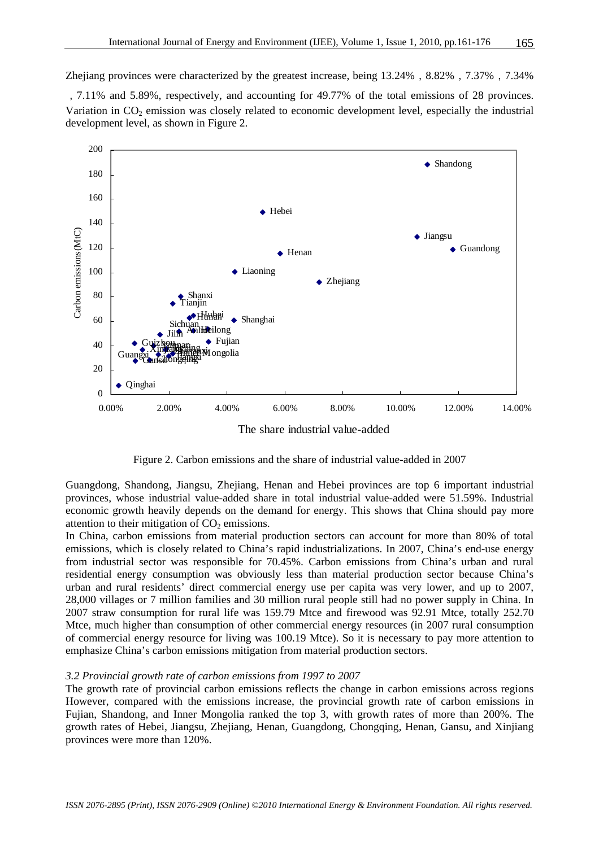Zhejiang provinces were characterized by the greatest increase, being 13.24%, 8.82%, 7.37%, 7.34%

,7.11% and 5.89%, respectively, and accounting for 49.77% of the total emissions of 28 provinces. Variation in  $CO<sub>2</sub>$  emission was closely related to economic development level, especially the industrial development level, as shown in Figure 2.



Figure 2. Carbon emissions and the share of industrial value-added in 2007

Guangdong, Shandong, Jiangsu, Zhejiang, Henan and Hebei provinces are top 6 important industrial provinces, whose industrial value-added share in total industrial value-added were 51.59%. Industrial economic growth heavily depends on the demand for energy. This shows that China should pay more attention to their mitigation of  $CO<sub>2</sub>$  emissions.

In China, carbon emissions from material production sectors can account for more than 80% of total emissions, which is closely related to China's rapid industrializations. In 2007, China's end-use energy from industrial sector was responsible for 70.45%. Carbon emissions from China's urban and rural residential energy consumption was obviously less than material production sector because China's urban and rural residents' direct commercial energy use per capita was very lower, and up to 2007, 28,000 villages or 7 million families and 30 million rural people still had no power supply in China. In 2007 straw consumption for rural life was 159.79 Mtce and firewood was 92.91 Mtce, totally 252.70 Mtce, much higher than consumption of other commercial energy resources (in 2007 rural consumption of commercial energy resource for living was 100.19 Mtce). So it is necessary to pay more attention to emphasize China's carbon emissions mitigation from material production sectors.

#### *3.2 Provincial growth rate of carbon emissions from 1997 to 2007*

The growth rate of provincial carbon emissions reflects the change in carbon emissions across regions However, compared with the emissions increase, the provincial growth rate of carbon emissions in Fujian, Shandong, and Inner Mongolia ranked the top 3, with growth rates of more than 200%. The growth rates of Hebei, Jiangsu, Zhejiang, Henan, Guangdong, Chongqing, Henan, Gansu, and Xinjiang provinces were more than 120%.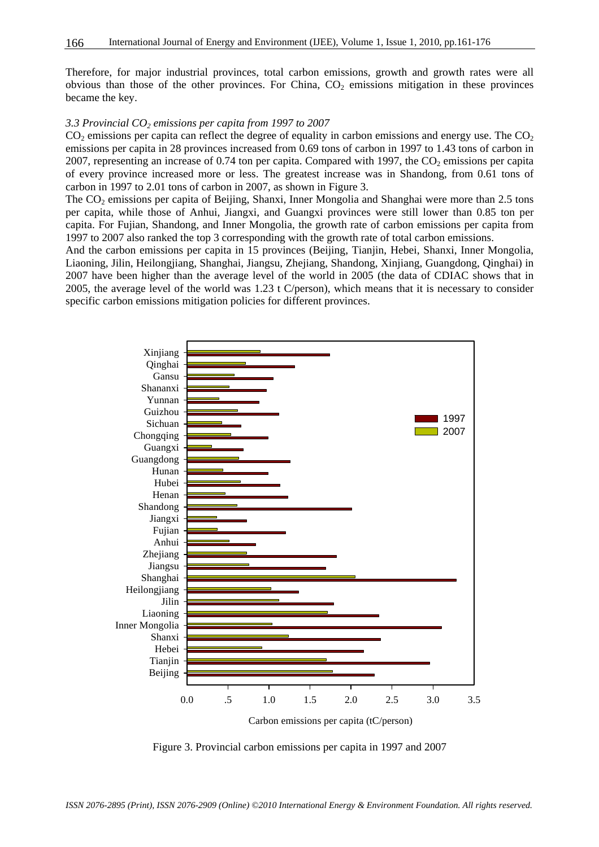Therefore, for major industrial provinces, total carbon emissions, growth and growth rates were all obvious than those of the other provinces. For China,  $CO<sub>2</sub>$  emissions mitigation in these provinces became the key.

#### *3.3 Provincial CO2 emissions per capita from 1997 to 2007*

 $CO<sub>2</sub>$  emissions per capita can reflect the degree of equality in carbon emissions and energy use. The  $CO<sub>2</sub>$ emissions per capita in 28 provinces increased from 0.69 tons of carbon in 1997 to 1.43 tons of carbon in 2007, representing an increase of 0.74 ton per capita. Compared with 1997, the  $CO<sub>2</sub>$  emissions per capita of every province increased more or less. The greatest increase was in Shandong, from 0.61 tons of carbon in 1997 to 2.01 tons of carbon in 2007, as shown in Figure 3.

The  $CO<sub>2</sub>$  emissions per capita of Beijing, Shanxi, Inner Mongolia and Shanghai were more than 2.5 tons per capita, while those of Anhui, Jiangxi, and Guangxi provinces were still lower than 0.85 ton per capita. For Fujian, Shandong, and Inner Mongolia, the growth rate of carbon emissions per capita from 1997 to 2007 also ranked the top 3 corresponding with the growth rate of total carbon emissions.

And the carbon emissions per capita in 15 provinces (Beijing, Tianjin, Hebei, Shanxi, Inner Mongolia, Liaoning, Jilin, Heilongjiang, Shanghai, Jiangsu, Zhejiang, Shandong, Xinjiang, Guangdong, Qinghai) in 2007 have been higher than the average level of the world in 2005 (the data of CDIAC shows that in 2005, the average level of the world was 1.23 t C/person), which means that it is necessary to consider specific carbon emissions mitigation policies for different provinces.



Figure 3. Provincial carbon emissions per capita in 1997 and 2007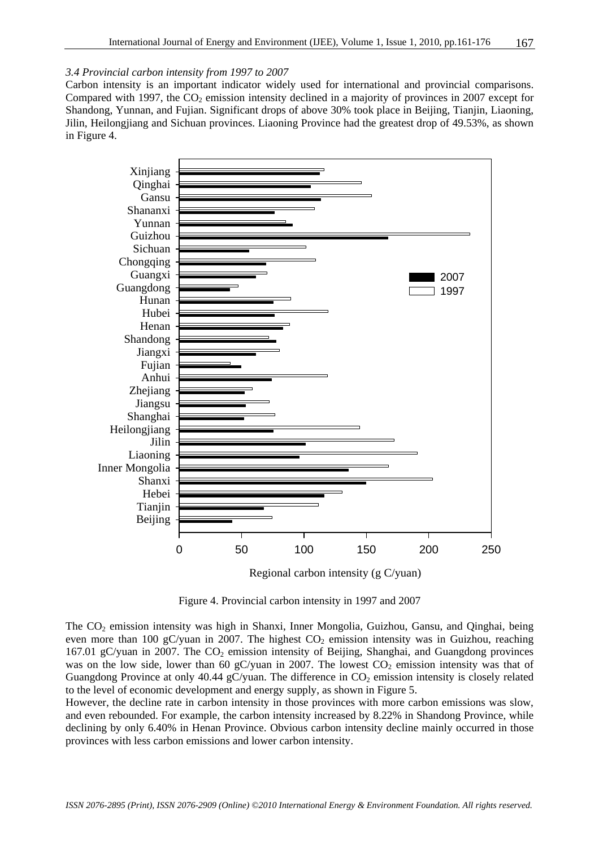# *3.4 Provincial carbon intensity from 1997 to 2007*

Carbon intensity is an important indicator widely used for international and provincial comparisons. Compared with 1997, the  $CO<sub>2</sub>$  emission intensity declined in a majority of provinces in 2007 except for Shandong, Yunnan, and Fujian. Significant drops of above 30% took place in Beijing, Tianjin, Liaoning, Jilin, Heilongjiang and Sichuan provinces. Liaoning Province had the greatest drop of 49.53%, as shown in Figure 4.





The CO<sub>2</sub> emission intensity was high in Shanxi, Inner Mongolia, Guizhou, Gansu, and Oinghai, being even more than 100 gC/yuan in 2007. The highest  $CO<sub>2</sub>$  emission intensity was in Guizhou, reaching 167.01 gC/yuan in 2007. The  $CO<sub>2</sub>$  emission intensity of Beijing, Shanghai, and Guangdong provinces was on the low side, lower than 60 gC/yuan in 2007. The lowest  $CO<sub>2</sub>$  emission intensity was that of Guangdong Province at only 40.44 gC/yuan. The difference in  $CO<sub>2</sub>$  emission intensity is closely related to the level of economic development and energy supply, as shown in Figure 5.

However, the decline rate in carbon intensity in those provinces with more carbon emissions was slow, and even rebounded. For example, the carbon intensity increased by 8.22% in Shandong Province, while declining by only 6.40% in Henan Province. Obvious carbon intensity decline mainly occurred in those provinces with less carbon emissions and lower carbon intensity.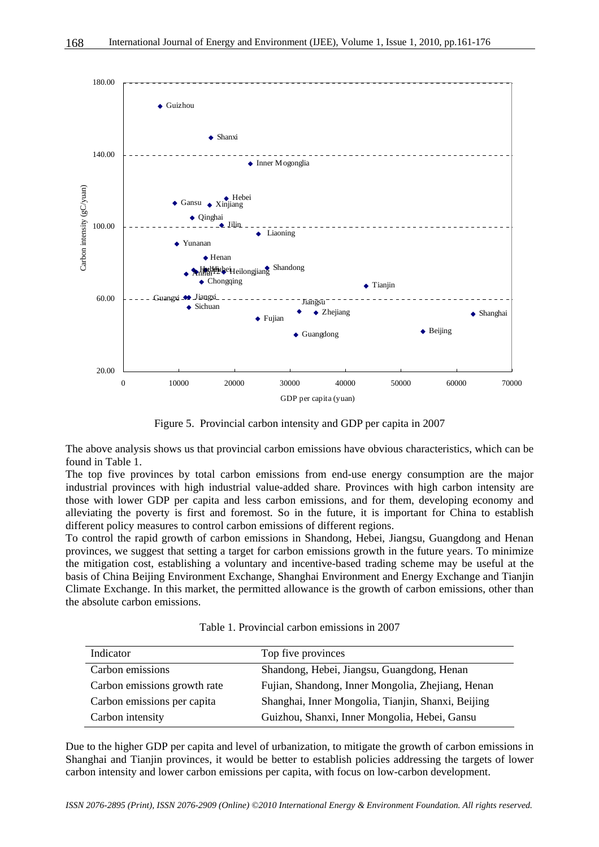

Figure 5. Provincial carbon intensity and GDP per capita in 2007

The above analysis shows us that provincial carbon emissions have obvious characteristics, which can be found in Table 1.

The top five provinces by total carbon emissions from end-use energy consumption are the major industrial provinces with high industrial value-added share. Provinces with high carbon intensity are those with lower GDP per capita and less carbon emissions, and for them, developing economy and alleviating the poverty is first and foremost. So in the future, it is important for China to establish different policy measures to control carbon emissions of different regions.

To control the rapid growth of carbon emissions in Shandong, Hebei, Jiangsu, Guangdong and Henan provinces, we suggest that setting a target for carbon emissions growth in the future years. To minimize the mitigation cost, establishing a voluntary and incentive-based trading scheme may be useful at the basis of China Beijing Environment Exchange, Shanghai Environment and Energy Exchange and Tianjin Climate Exchange. In this market, the permitted allowance is the growth of carbon emissions, other than the absolute carbon emissions.

| Indicator                    | Top five provinces                                 |
|------------------------------|----------------------------------------------------|
| Carbon emissions             | Shandong, Hebei, Jiangsu, Guangdong, Henan         |
| Carbon emissions growth rate | Fujian, Shandong, Inner Mongolia, Zhejiang, Henan  |
| Carbon emissions per capita  | Shanghai, Inner Mongolia, Tianjin, Shanxi, Beijing |
| Carbon intensity             | Guizhou, Shanxi, Inner Mongolia, Hebei, Gansu      |

Due to the higher GDP per capita and level of urbanization, to mitigate the growth of carbon emissions in Shanghai and Tianjin provinces, it would be better to establish policies addressing the targets of lower carbon intensity and lower carbon emissions per capita, with focus on low-carbon development.

*ISSN 2076-2895 (Print), ISSN 2076-2909 (Online) ©2010 International Energy & Environment Foundation. All rights reserved.*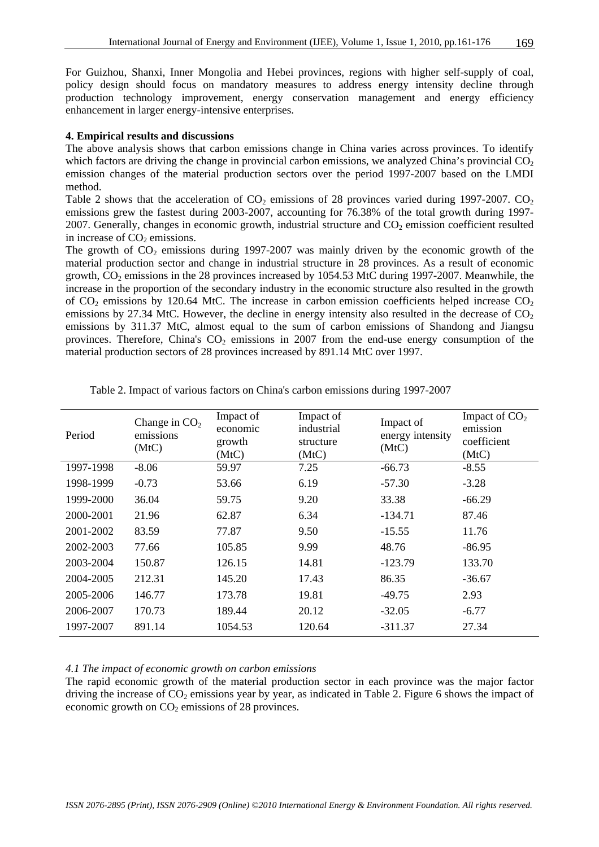For Guizhou, Shanxi, Inner Mongolia and Hebei provinces, regions with higher self-supply of coal, policy design should focus on mandatory measures to address energy intensity decline through production technology improvement, energy conservation management and energy efficiency enhancement in larger energy-intensive enterprises.

#### **4. Empirical results and discussions**

The above analysis shows that carbon emissions change in China varies across provinces. To identify which factors are driving the change in provincial carbon emissions, we analyzed China's provincial  $CO<sub>2</sub>$ emission changes of the material production sectors over the period 1997-2007 based on the LMDI method.

Table 2 shows that the acceleration of  $CO<sub>2</sub>$  emissions of 28 provinces varied during 1997-2007.  $CO<sub>2</sub>$ emissions grew the fastest during 2003-2007, accounting for 76.38% of the total growth during 1997- 2007. Generally, changes in economic growth, industrial structure and  $CO<sub>2</sub>$  emission coefficient resulted in increase of  $CO<sub>2</sub>$  emissions.

The growth of  $CO<sub>2</sub>$  emissions during 1997-2007 was mainly driven by the economic growth of the material production sector and change in industrial structure in 28 provinces. As a result of economic growth,  $CO<sub>2</sub>$  emissions in the 28 provinces increased by 1054.53 MtC during 1997-2007. Meanwhile, the increase in the proportion of the secondary industry in the economic structure also resulted in the growth of  $CO_2$  emissions by 120.64 MtC. The increase in carbon emission coefficients helped increase  $CO_2$ emissions by 27.34 MtC. However, the decline in energy intensity also resulted in the decrease of  $CO<sub>2</sub>$ emissions by 311.37 MtC, almost equal to the sum of carbon emissions of Shandong and Jiangsu provinces. Therefore, China's  $CO<sub>2</sub>$  emissions in 2007 from the end-use energy consumption of the material production sectors of 28 provinces increased by 891.14 MtC over 1997.

| Period    | Change in $CO2$<br>emissions<br>(MtC) | Impact of<br>economic<br>growth<br>(MtC) | Impact of<br>industrial<br>structure<br>(MtC) | Impact of<br>energy intensity<br>(MtC) | Impact of CO <sub>2</sub><br>emission<br>coefficient<br>(MtC) |
|-----------|---------------------------------------|------------------------------------------|-----------------------------------------------|----------------------------------------|---------------------------------------------------------------|
| 1997-1998 | $-8.06$                               | 59.97                                    | 7.25                                          | $-66.73$                               | $-8.55$                                                       |
| 1998-1999 | $-0.73$                               | 53.66                                    | 6.19                                          | $-57.30$                               | $-3.28$                                                       |
| 1999-2000 | 36.04                                 | 59.75                                    | 9.20                                          | 33.38                                  | $-66.29$                                                      |
| 2000-2001 | 21.96                                 | 62.87                                    | 6.34                                          | $-134.71$                              | 87.46                                                         |
| 2001-2002 | 83.59                                 | 77.87                                    | 9.50                                          | $-15.55$                               | 11.76                                                         |
| 2002-2003 | 77.66                                 | 105.85                                   | 9.99                                          | 48.76                                  | $-86.95$                                                      |
| 2003-2004 | 150.87                                | 126.15                                   | 14.81                                         | $-123.79$                              | 133.70                                                        |
| 2004-2005 | 212.31                                | 145.20                                   | 17.43                                         | 86.35                                  | $-36.67$                                                      |
| 2005-2006 | 146.77                                | 173.78                                   | 19.81                                         | $-49.75$                               | 2.93                                                          |
| 2006-2007 | 170.73                                | 189.44                                   | 20.12                                         | $-32.05$                               | $-6.77$                                                       |
| 1997-2007 | 891.14                                | 1054.53                                  | 120.64                                        | $-311.37$                              | 27.34                                                         |

Table 2. Impact of various factors on China's carbon emissions during 1997-2007

#### *4.1 The impact of economic growth on carbon emissions*

The rapid economic growth of the material production sector in each province was the major factor driving the increase of  $CO_2$  emissions year by year, as indicated in Table 2. Figure 6 shows the impact of economic growth on  $CO<sub>2</sub>$  emissions of 28 provinces.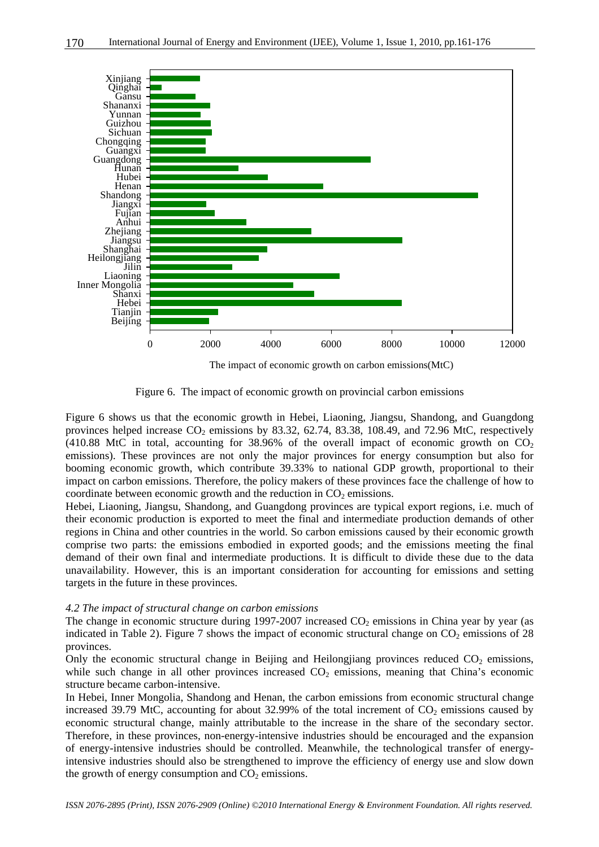

The impact of economic growth on carbon emissions(MtC)

Figure 6. The impact of economic growth on provincial carbon emissions

Figure 6 shows us that the economic growth in Hebei, Liaoning, Jiangsu, Shandong, and Guangdong provinces helped increase  $CO<sub>2</sub>$  emissions by 83.32, 62.74, 83.38, 108.49, and 72.96 MtC, respectively  $(410.88 \text{ MtC}$  in total, accounting for 38.96% of the overall impact of economic growth on  $CO<sub>2</sub>$ emissions). These provinces are not only the major provinces for energy consumption but also for booming economic growth, which contribute 39.33% to national GDP growth, proportional to their impact on carbon emissions. Therefore, the policy makers of these provinces face the challenge of how to coordinate between economic growth and the reduction in  $CO<sub>2</sub>$  emissions.

Hebei, Liaoning, Jiangsu, Shandong, and Guangdong provinces are typical export regions, i.e. much of their economic production is exported to meet the final and intermediate production demands of other regions in China and other countries in the world. So carbon emissions caused by their economic growth comprise two parts: the emissions embodied in exported goods; and the emissions meeting the final demand of their own final and intermediate productions. It is difficult to divide these due to the data unavailability. However, this is an important consideration for accounting for emissions and setting targets in the future in these provinces.

#### *4.2 The impact of structural change on carbon emissions*

The change in economic structure during 1997-2007 increased  $CO<sub>2</sub>$  emissions in China year by year (as indicated in Table 2). Figure 7 shows the impact of economic structural change on  $CO<sub>2</sub>$  emissions of 28 provinces.

Only the economic structural change in Beijing and Heilongjiang provinces reduced  $CO<sub>2</sub>$  emissions, while such change in all other provinces increased  $CO<sub>2</sub>$  emissions, meaning that China's economic structure became carbon-intensive.

In Hebei, Inner Mongolia, Shandong and Henan, the carbon emissions from economic structural change increased 39.79 MtC, accounting for about 32.99% of the total increment of  $CO<sub>2</sub>$  emissions caused by economic structural change, mainly attributable to the increase in the share of the secondary sector. Therefore, in these provinces, non-energy-intensive industries should be encouraged and the expansion of energy-intensive industries should be controlled. Meanwhile, the technological transfer of energyintensive industries should also be strengthened to improve the efficiency of energy use and slow down the growth of energy consumption and  $CO<sub>2</sub>$  emissions.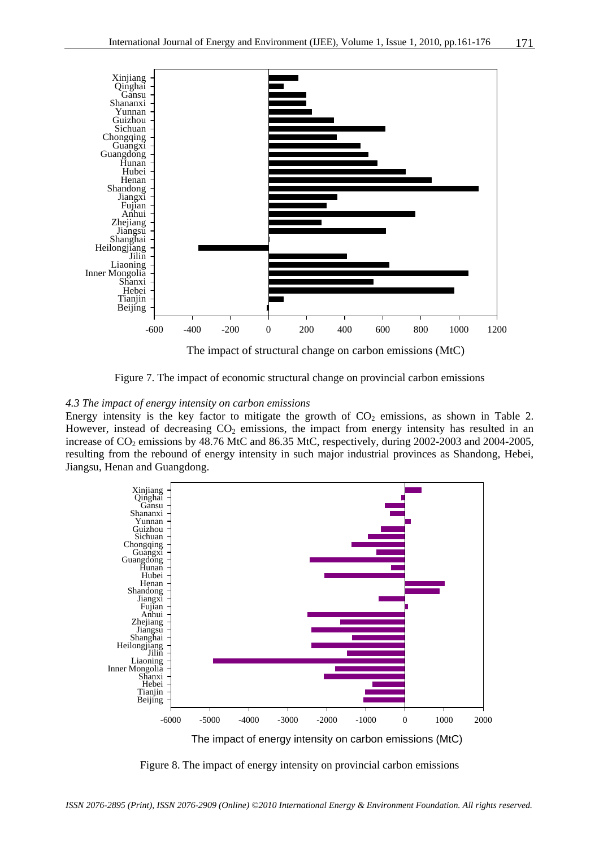

The impact of structural change on carbon emissions (MtC)

Figure 7. The impact of economic structural change on provincial carbon emissions

#### *4.3 The impact of energy intensity on carbon emissions*

Energy intensity is the key factor to mitigate the growth of  $CO<sub>2</sub>$  emissions, as shown in Table 2. However, instead of decreasing  $CO<sub>2</sub>$  emissions, the impact from energy intensity has resulted in an increase of  $CO<sub>2</sub>$  emissions by 48.76 MtC and 86.35 MtC, respectively, during 2002-2003 and 2004-2005, resulting from the rebound of energy intensity in such major industrial provinces as Shandong, Hebei, Jiangsu, Henan and Guangdong.



Figure 8. The impact of energy intensity on provincial carbon emissions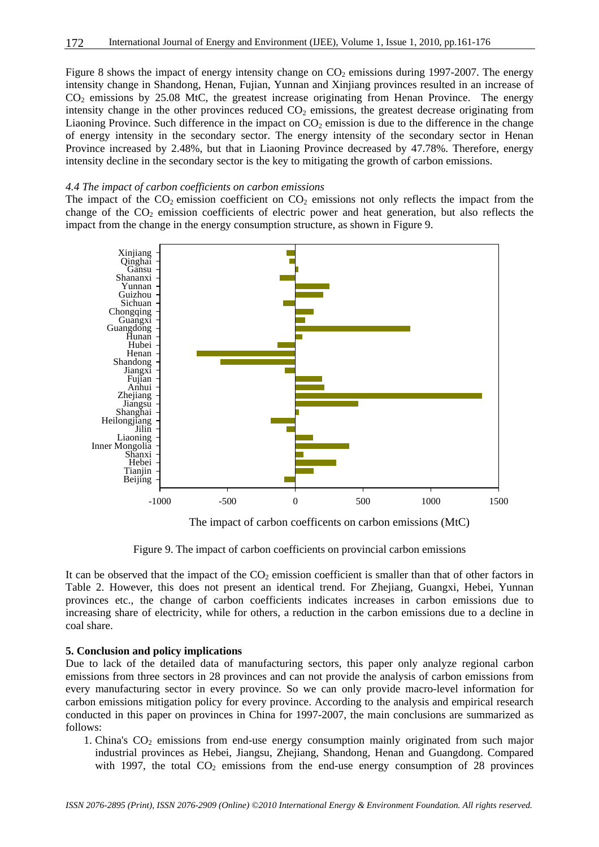Figure 8 shows the impact of energy intensity change on  $CO<sub>2</sub>$  emissions during 1997-2007. The energy intensity change in Shandong, Henan, Fujian, Yunnan and Xinjiang provinces resulted in an increase of  $CO<sub>2</sub>$  emissions by 25.08 MtC, the greatest increase originating from Henan Province. The energy intensity change in the other provinces reduced  $CO<sub>2</sub>$  emissions, the greatest decrease originating from Liaoning Province. Such difference in the impact on  $CO<sub>2</sub>$  emission is due to the difference in the change of energy intensity in the secondary sector. The energy intensity of the secondary sector in Henan Province increased by 2.48%, but that in Liaoning Province decreased by 47.78%. Therefore, energy intensity decline in the secondary sector is the key to mitigating the growth of carbon emissions.

#### *4.4 The impact of carbon coefficients on carbon emissions*

The impact of the  $CO_2$  emission coefficient on  $CO_2$  emissions not only reflects the impact from the change of the  $CO<sub>2</sub>$  emission coefficients of electric power and heat generation, but also reflects the impact from the change in the energy consumption structure, as shown in Figure 9.



The impact of carbon coefficents on carbon emissions (MtC)

Figure 9. The impact of carbon coefficients on provincial carbon emissions

It can be observed that the impact of the  $CO<sub>2</sub>$  emission coefficient is smaller than that of other factors in Table 2. However, this does not present an identical trend. For Zhejiang, Guangxi, Hebei, Yunnan provinces etc., the change of carbon coefficients indicates increases in carbon emissions due to increasing share of electricity, while for others, a reduction in the carbon emissions due to a decline in coal share.

# **5. Conclusion and policy implications**

Due to lack of the detailed data of manufacturing sectors, this paper only analyze regional carbon emissions from three sectors in 28 provinces and can not provide the analysis of carbon emissions from every manufacturing sector in every province. So we can only provide macro-level information for carbon emissions mitigation policy for every province. According to the analysis and empirical research conducted in this paper on provinces in China for 1997-2007, the main conclusions are summarized as follows:

1. China's  $CO<sub>2</sub>$  emissions from end-use energy consumption mainly originated from such major industrial provinces as Hebei, Jiangsu, Zhejiang, Shandong, Henan and Guangdong. Compared with 1997, the total  $CO<sub>2</sub>$  emissions from the end-use energy consumption of 28 provinces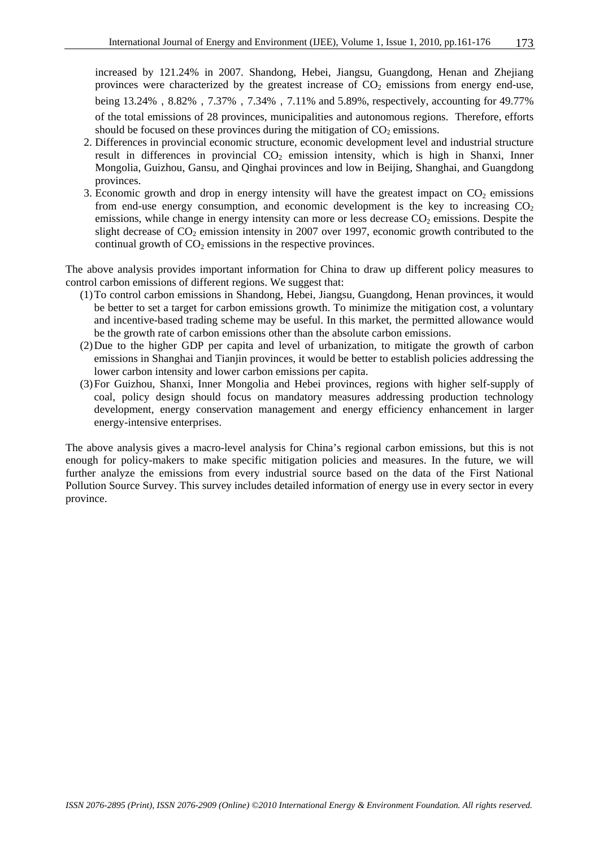increased by 121.24% in 2007. Shandong, Hebei, Jiangsu, Guangdong, Henan and Zhejiang provinces were characterized by the greatest increase of  $CO<sub>2</sub>$  emissions from energy end-use, being 13.24%, 8.82%, 7.37%, 7.34%, 7.11% and 5.89%, respectively, accounting for 49.77% of the total emissions of 28 provinces, municipalities and autonomous regions. Therefore, efforts should be focused on these provinces during the mitigation of  $CO<sub>2</sub>$  emissions.

- 2. Differences in provincial economic structure, economic development level and industrial structure result in differences in provincial  $CO<sub>2</sub>$  emission intensity, which is high in Shanxi, Inner Mongolia, Guizhou, Gansu, and Qinghai provinces and low in Beijing, Shanghai, and Guangdong provinces.
- 3. Economic growth and drop in energy intensity will have the greatest impact on  $CO<sub>2</sub>$  emissions from end-use energy consumption, and economic development is the key to increasing  $CO<sub>2</sub>$ emissions, while change in energy intensity can more or less decrease  $CO<sub>2</sub>$  emissions. Despite the slight decrease of  $CO_2$  emission intensity in 2007 over 1997, economic growth contributed to the continual growth of  $CO<sub>2</sub>$  emissions in the respective provinces.

The above analysis provides important information for China to draw up different policy measures to control carbon emissions of different regions. We suggest that:

- (1)To control carbon emissions in Shandong, Hebei, Jiangsu, Guangdong, Henan provinces, it would be better to set a target for carbon emissions growth. To minimize the mitigation cost, a voluntary and incentive-based trading scheme may be useful. In this market, the permitted allowance would be the growth rate of carbon emissions other than the absolute carbon emissions.
- (2)Due to the higher GDP per capita and level of urbanization, to mitigate the growth of carbon emissions in Shanghai and Tianjin provinces, it would be better to establish policies addressing the lower carbon intensity and lower carbon emissions per capita.
- (3)For Guizhou, Shanxi, Inner Mongolia and Hebei provinces, regions with higher self-supply of coal, policy design should focus on mandatory measures addressing production technology development, energy conservation management and energy efficiency enhancement in larger energy-intensive enterprises.

The above analysis gives a macro-level analysis for China's regional carbon emissions, but this is not enough for policy-makers to make specific mitigation policies and measures. In the future, we will further analyze the emissions from every industrial source based on the data of the First National Pollution Source Survey. This survey includes detailed information of energy use in every sector in every province.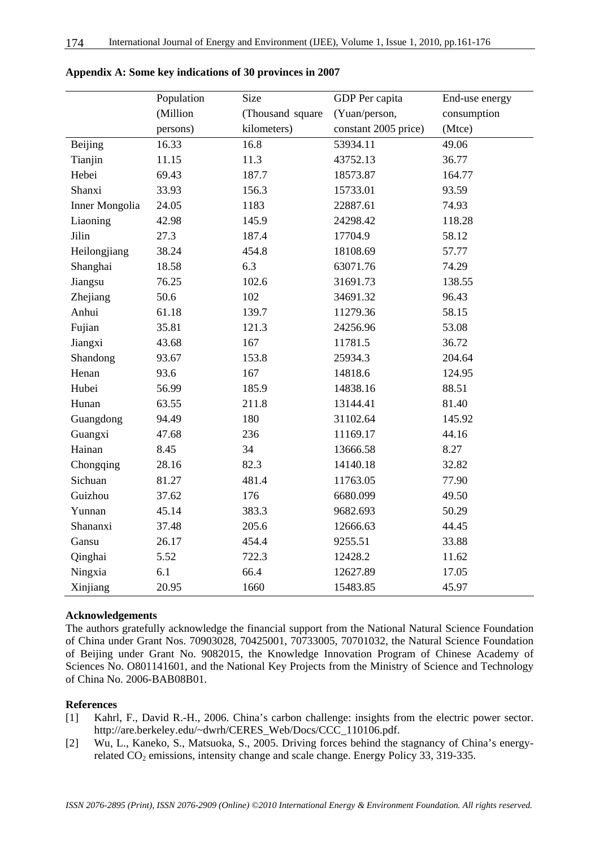|                       | Population | Size             | GDP Per capita       | End-use energy |
|-----------------------|------------|------------------|----------------------|----------------|
|                       | (Million   | (Thousand square | (Yuan/person,        | consumption    |
|                       | persons)   | kilometers)      | constant 2005 price) | (Mtce)         |
| Beijing               | 16.33      | 16.8             | 53934.11             | 49.06          |
| Tianjin               | 11.15      | 11.3             | 43752.13             | 36.77          |
| Hebei                 | 69.43      | 187.7            | 18573.87             | 164.77         |
| Shanxi                | 33.93      | 156.3            | 15733.01             | 93.59          |
| <b>Inner Mongolia</b> | 24.05      | 1183             | 22887.61             | 74.93          |
| Liaoning              | 42.98      | 145.9            | 24298.42             | 118.28         |
| Jilin                 | 27.3       | 187.4            | 17704.9              | 58.12          |
| Heilongjiang          | 38.24      | 454.8            | 18108.69             | 57.77          |
| Shanghai              | 18.58      | 6.3              | 63071.76             | 74.29          |
| Jiangsu               | 76.25      | 102.6            | 31691.73             | 138.55         |
| Zhejiang              | 50.6       | 102              | 34691.32             | 96.43          |
| Anhui                 | 61.18      | 139.7            | 11279.36             | 58.15          |
| Fujian                | 35.81      | 121.3            | 24256.96             | 53.08          |
| Jiangxi               | 43.68      | 167              | 11781.5              | 36.72          |
| Shandong              | 93.67      | 153.8            | 25934.3              | 204.64         |
| Henan                 | 93.6       | 167              | 14818.6              | 124.95         |
| Hubei                 | 56.99      | 185.9            | 14838.16             | 88.51          |
| Hunan                 | 63.55      | 211.8            | 13144.41             | 81.40          |
| Guangdong             | 94.49      | 180              | 31102.64             | 145.92         |
| Guangxi               | 47.68      | 236              | 11169.17             | 44.16          |
| Hainan                | 8.45       | 34               | 13666.58             | 8.27           |
| Chongqing             | 28.16      | 82.3             | 14140.18             | 32.82          |
| Sichuan               | 81.27      | 481.4            | 11763.05             | 77.90          |
| Guizhou               | 37.62      | 176              | 6680.099             | 49.50          |
| Yunnan                | 45.14      | 383.3            | 9682.693             | 50.29          |
| Shananxi              | 37.48      | 205.6            | 12666.63             | 44.45          |
| Gansu                 | 26.17      | 454.4            | 9255.51              | 33.88          |
| Qinghai               | 5.52       | 722.3            | 12428.2              | 11.62          |
| Ningxia               | 6.1        | 66.4             | 12627.89             | 17.05          |
| Xinjiang              | 20.95      | 1660             | 15483.85             | 45.97          |

**Appendix A: Some key indications of 30 provinces in 2007** 

# **Acknowledgements**

The authors gratefully acknowledge the financial support from the National Natural Science Foundation of China under Grant Nos. 70903028, 70425001, 70733005, 70701032, the Natural Science Foundation of Beijing under Grant No. 9082015, the Knowledge Innovation Program of Chinese Academy of Sciences No. 0801141601, and the National Key Projects from the Ministry of Science and Technology of China No. 2006-BAB08B01.

# **References**

- [1] Kahrl, F., David R.-H., 2006. China's carbon challenge: insights from the electric power sector. http://are.berkeley.edu/~dwrh/CERES\_Web/Docs/CCC\_110106.pdf.
- [2] Wu, L., Kaneko, S., Matsuoka, S., 2005. Driving forces behind the stagnancy of China's energyrelated  $CO_2$  emissions, intensity change and scale change. Energy Policy 33, 319-335.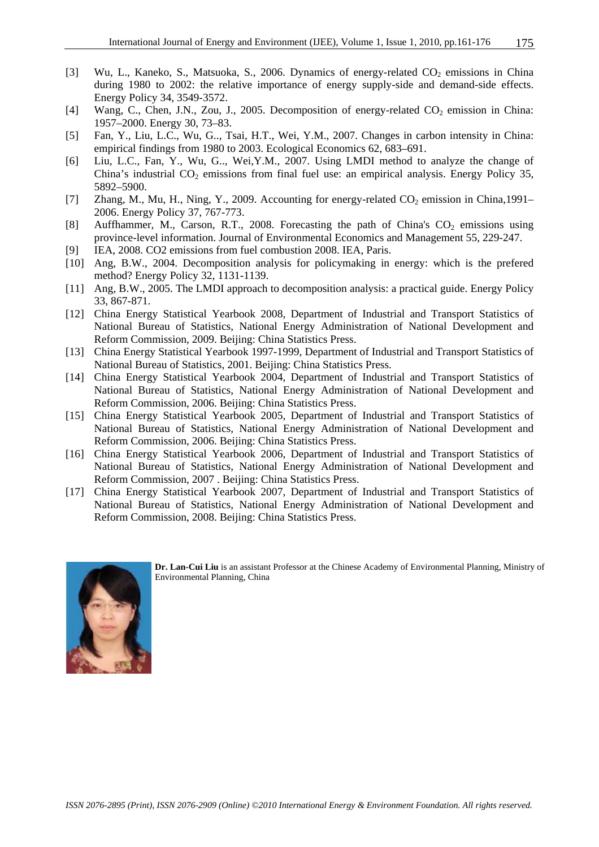- [3] Wu, L., Kaneko, S., Matsuoka, S., 2006. Dynamics of energy-related CO<sub>2</sub> emissions in China during 1980 to 2002: the relative importance of energy supply-side and demand-side effects. Energy Policy 34, 3549-3572.
- [4] Wang, C., Chen, J.N., Zou, J., 2005. Decomposition of energy-related  $CO_2$  emission in China: 1957–2000. Energy 30, 73–83.
- [5] Fan, Y., Liu, L.C., Wu, G.., Tsai, H.T., Wei, Y.M., 2007. Changes in carbon intensity in China: empirical findings from 1980 to 2003. Ecological Economics 62, 683–691.
- [6] Liu, L.C., Fan, Y., Wu, G.., Wei,Y.M., 2007. Using LMDI method to analyze the change of China's industrial  $CO<sub>2</sub>$  emissions from final fuel use: an empirical analysis. Energy Policy 35, 5892–5900.
- [7] Zhang, M., Mu, H., Ning, Y., 2009. Accounting for energy-related  $CO_2$  emission in China,1991– 2006. Energy Policy 37, 767-773.
- [8] Auffhammer, M., Carson, R.T., 2008. Forecasting the path of China's  $CO_2$  emissions using province-level information. Journal of Environmental Economics and Management 55, 229-247.
- [9] IEA, 2008. CO2 emissions from fuel combustion 2008. IEA, Paris.
- [10] Ang, B.W., 2004. Decomposition analysis for policymaking in energy: which is the prefered method? Energy Policy 32, 1131-1139.
- [11] Ang, B.W., 2005. The LMDI approach to decomposition analysis: a practical guide. Energy Policy 33, 867-871.
- [12] China Energy Statistical Yearbook 2008, Department of Industrial and Transport Statistics of National Bureau of Statistics, National Energy Administration of National Development and Reform Commission, 2009. Beijing: China Statistics Press.
- [13] China Energy Statistical Yearbook 1997-1999, Department of Industrial and Transport Statistics of National Bureau of Statistics, 2001. Beijing: China Statistics Press.
- [14] China Energy Statistical Yearbook 2004, Department of Industrial and Transport Statistics of National Bureau of Statistics, National Energy Administration of National Development and Reform Commission, 2006. Beijing: China Statistics Press.
- [15] China Energy Statistical Yearbook 2005, Department of Industrial and Transport Statistics of National Bureau of Statistics, National Energy Administration of National Development and Reform Commission, 2006. Beijing: China Statistics Press.
- [16] China Energy Statistical Yearbook 2006, Department of Industrial and Transport Statistics of National Bureau of Statistics, National Energy Administration of National Development and Reform Commission, 2007 . Beijing: China Statistics Press.
- [17] China Energy Statistical Yearbook 2007, Department of Industrial and Transport Statistics of National Bureau of Statistics, National Energy Administration of National Development and Reform Commission, 2008. Beijing: China Statistics Press.



**Dr. Lan-Cui Liu** is an assistant Professor at the Chinese Academy of Environmental Planning, Ministry of Environmental Planning, China